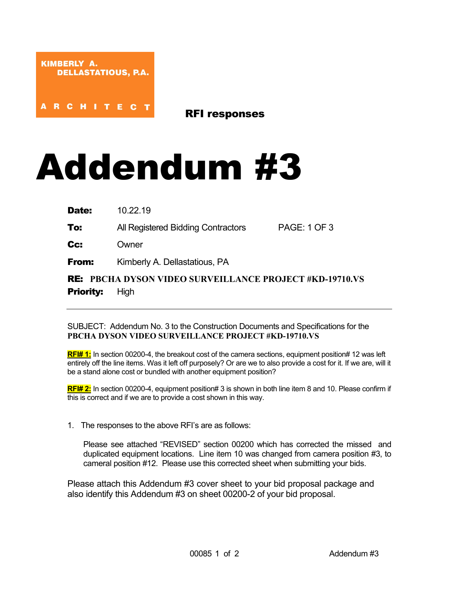**RCHITEC** 

RFI responses

## Addendum #3

**Date:** 10.22.19

To: All Registered Bidding Contractors PAGE: 1 OF 3

Cc: Owner

**From:** Kimberly A. Dellastatious, PA

RE: **PBCHA DYSON VIDEO SURVEILLANCE PROJECT #KD-19710.VS Priority:** High

## SUBJECT: Addendum No. 3 to the Construction Documents and Specifications for the **PBCHA DYSON VIDEO SURVEILLANCE PROJECT #KD-19710.VS**

**RFI# 1:** In section 00200-4, the breakout cost of the camera sections, equipment position# 12 was left entirely off the line items. Was it left off purposely? Or are we to also provide a cost for it. If we are, will it be a stand alone cost or bundled with another equipment position?

**RFI# 2:** In section 00200-4, equipment position# 3 is shown in both line item 8 and 10. Please confirm if this is correct and if we are to provide a cost shown in this way.

1. The responses to the above RFI's are as follows:

Please see attached "REVISED" section 00200 which has corrected the missed and duplicated equipment locations. Line item 10 was changed from camera position #3, to cameral position #12. Please use this corrected sheet when submitting your bids.

Please attach this Addendum #3 cover sheet to your bid proposal package and also identify this Addendum #3 on sheet 00200-2 of your bid proposal.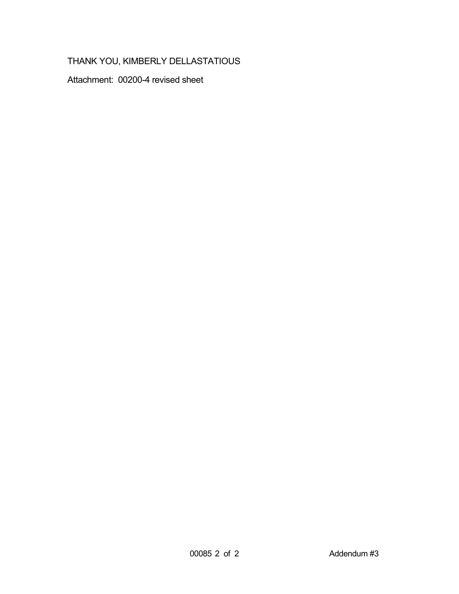## THANK YOU, KIMBERLY DELLASTATIOUS

Attachment: 00200-4 revised sheet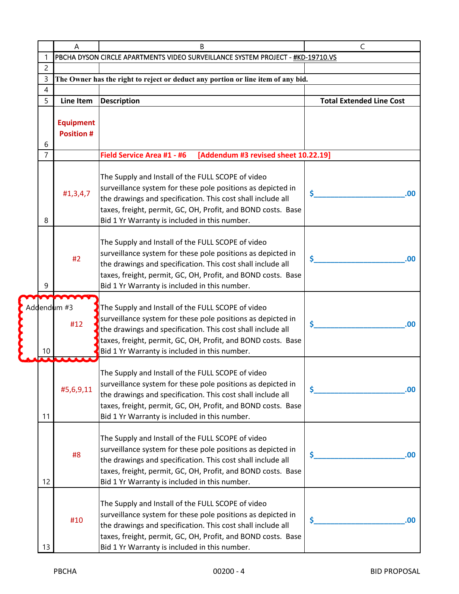|  |    | Α                                     | B                                                                                                                                                                                                                                                                                                | $\mathsf{C}$                    |
|--|----|---------------------------------------|--------------------------------------------------------------------------------------------------------------------------------------------------------------------------------------------------------------------------------------------------------------------------------------------------|---------------------------------|
|  | 1  |                                       | PBCHA DYSON CIRCLE APARTMENTS VIDEO SURVEILLANCE SYSTEM PROJECT - #KD-19710.VS                                                                                                                                                                                                                   |                                 |
|  | 2  |                                       |                                                                                                                                                                                                                                                                                                  |                                 |
|  | 3  |                                       | The Owner has the right to reject or deduct any portion or line item of any bid.                                                                                                                                                                                                                 |                                 |
|  | 4  |                                       |                                                                                                                                                                                                                                                                                                  |                                 |
|  | 5  | <b>Line Item</b>                      | <b>Description</b>                                                                                                                                                                                                                                                                               | <b>Total Extended Line Cost</b> |
|  |    |                                       |                                                                                                                                                                                                                                                                                                  |                                 |
|  | 6  | <b>Equipment</b><br><b>Position #</b> |                                                                                                                                                                                                                                                                                                  |                                 |
|  | 7  |                                       | Field Service Area #1 - #6<br>[Addendum #3 revised sheet 10.22.19]                                                                                                                                                                                                                               |                                 |
|  | 8  | #1,3,4,7                              | The Supply and Install of the FULL SCOPE of video<br>surveillance system for these pole positions as depicted in<br>the drawings and specification. This cost shall include all<br>taxes, freight, permit, GC, OH, Profit, and BOND costs. Base<br>Bid 1 Yr Warranty is included in this number. | \$<br>.00                       |
|  | 9  | #2                                    | The Supply and Install of the FULL SCOPE of video<br>surveillance system for these pole positions as depicted in<br>the drawings and specification. This cost shall include all<br>taxes, freight, permit, GC, OH, Profit, and BOND costs. Base<br>Bid 1 Yr Warranty is included in this number. | \$<br>.00                       |
|  | 10 | Addendum #3<br>#12                    | The Supply and Install of the FULL SCOPE of video<br>surveillance system for these pole positions as depicted in<br>the drawings and specification. This cost shall include all<br>taxes, freight, permit, GC, OH, Profit, and BOND costs. Base<br>Bid 1 Yr Warranty is included in this number. | \$<br>.00                       |
|  | 11 | #5,6,9,11                             | The Supply and Install of the FULL SCOPE of video<br>surveillance system for these pole positions as depicted in<br>the drawings and specification. This cost shall include all<br>taxes, freight, permit, GC, OH, Profit, and BOND costs. Base<br>Bid 1 Yr Warranty is included in this number. | \$<br>.00.                      |
|  | 12 | #8                                    | The Supply and Install of the FULL SCOPE of video<br>surveillance system for these pole positions as depicted in<br>the drawings and specification. This cost shall include all<br>taxes, freight, permit, GC, OH, Profit, and BOND costs. Base<br>Bid 1 Yr Warranty is included in this number. | \$<br>.00.                      |
|  | 13 | #10                                   | The Supply and Install of the FULL SCOPE of video<br>surveillance system for these pole positions as depicted in<br>the drawings and specification. This cost shall include all<br>taxes, freight, permit, GC, OH, Profit, and BOND costs. Base<br>Bid 1 Yr Warranty is included in this number. | \$.<br>.00.                     |